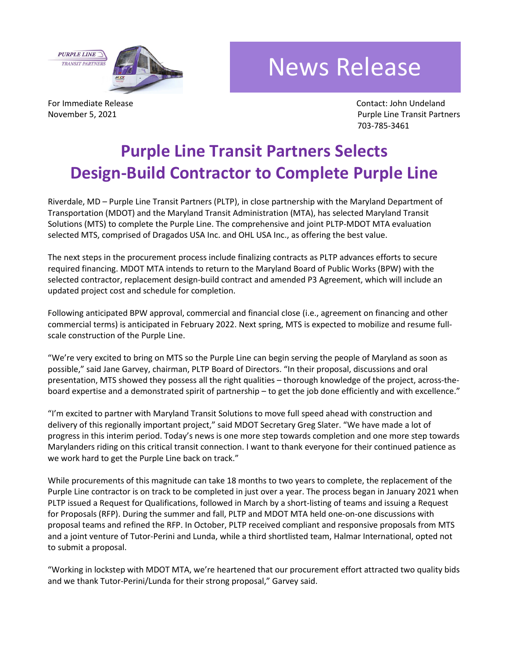**PURPLE LINE TRANSIT PARTNER** 



## News Release

For Immediate Release **Contact:** John Undeland

November 5, 2021 **Purple Line Transit Partners** Purple Line Transit Partners 703-785-3461

## **Purple Line Transit Partners Selects Design-Build Contractor to Complete Purple Line**

Riverdale, MD – Purple Line Transit Partners (PLTP), in close partnership with the Maryland Department of Transportation (MDOT) and the Maryland Transit Administration (MTA), has selected Maryland Transit Solutions (MTS) to complete the Purple Line. The comprehensive and joint PLTP-MDOT MTA evaluation selected MTS, comprised of Dragados USA Inc. and OHL USA Inc., as offering the best value.

The next steps in the procurement process include finalizing contracts as PLTP advances efforts to secure required financing. MDOT MTA intends to return to the Maryland Board of Public Works (BPW) with the selected contractor, replacement design-build contract and amended P3 Agreement, which will include an updated project cost and schedule for completion.

Following anticipated BPW approval, commercial and financial close (i.e., agreement on financing and other commercial terms) is anticipated in February 2022. Next spring, MTS is expected to mobilize and resume fullscale construction of the Purple Line.

"We're very excited to bring on MTS so the Purple Line can begin serving the people of Maryland as soon as possible," said Jane Garvey, chairman, PLTP Board of Directors. "In their proposal, discussions and oral presentation, MTS showed they possess all the right qualities – thorough knowledge of the project, across-theboard expertise and a demonstrated spirit of partnership – to get the job done efficiently and with excellence."

"I'm excited to partner with Maryland Transit Solutions to move full speed ahead with construction and delivery of this regionally important project," said MDOT Secretary Greg Slater. "We have made a lot of progress in this interim period. Today's news is one more step towards completion and one more step towards Marylanders riding on this critical transit connection. I want to thank everyone for their continued patience as we work hard to get the Purple Line back on track."

While procurements of this magnitude can take 18 months to two years to complete, the replacement of the Purple Line contractor is on track to be completed in just over a year. The process began in January 2021 when PLTP issued a Request for Qualifications, followed in March by a short-listing of teams and issuing a Request for Proposals (RFP). During the summer and fall, PLTP and MDOT MTA held one-on-one discussions with proposal teams and refined the RFP. In October, PLTP received compliant and responsive proposals from MTS and a joint venture of Tutor-Perini and Lunda, while a third shortlisted team, Halmar International, opted not to submit a proposal.

"Working in lockstep with MDOT MTA, we're heartened that our procurement effort attracted two quality bids and we thank Tutor-Perini/Lunda for their strong proposal," Garvey said.